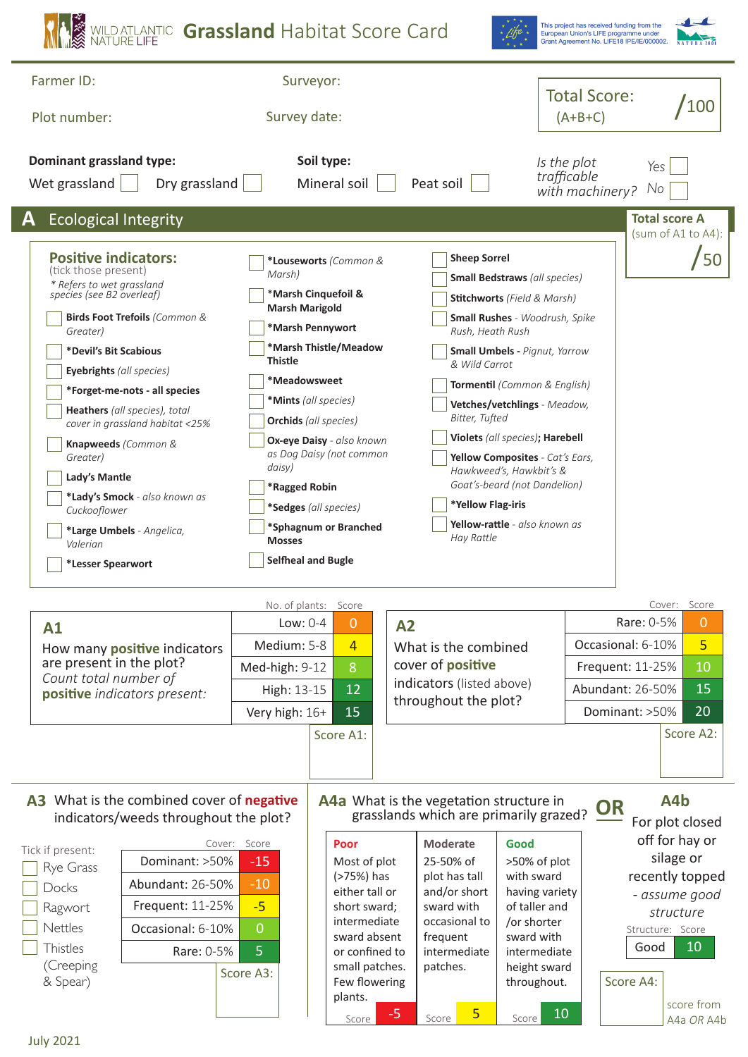| WILD ATLANTIC Grassland Habitat Score Card                                                                                                                                                                                                                                                                                                                                                                                                                                              |                                                                                                                                                                                                                                                                        |                                                                                                                                                                               |                                                                                                                  |                                                                                                                                                                                                                                                                                   |                                                                                                                                                                                                                                                                                                                                                                                                      | European Union's LIFE programme under                                                                                                                        | This project has received funding from the<br>Grant Agreement No. LIFE18 IPE/IE/000002. |                                                                                                                                                       |  |
|-----------------------------------------------------------------------------------------------------------------------------------------------------------------------------------------------------------------------------------------------------------------------------------------------------------------------------------------------------------------------------------------------------------------------------------------------------------------------------------------|------------------------------------------------------------------------------------------------------------------------------------------------------------------------------------------------------------------------------------------------------------------------|-------------------------------------------------------------------------------------------------------------------------------------------------------------------------------|------------------------------------------------------------------------------------------------------------------|-----------------------------------------------------------------------------------------------------------------------------------------------------------------------------------------------------------------------------------------------------------------------------------|------------------------------------------------------------------------------------------------------------------------------------------------------------------------------------------------------------------------------------------------------------------------------------------------------------------------------------------------------------------------------------------------------|--------------------------------------------------------------------------------------------------------------------------------------------------------------|-----------------------------------------------------------------------------------------|-------------------------------------------------------------------------------------------------------------------------------------------------------|--|
| Farmer ID:                                                                                                                                                                                                                                                                                                                                                                                                                                                                              | Surveyor:                                                                                                                                                                                                                                                              |                                                                                                                                                                               |                                                                                                                  |                                                                                                                                                                                                                                                                                   |                                                                                                                                                                                                                                                                                                                                                                                                      |                                                                                                                                                              |                                                                                         |                                                                                                                                                       |  |
| Plot number:                                                                                                                                                                                                                                                                                                                                                                                                                                                                            | Survey date:                                                                                                                                                                                                                                                           |                                                                                                                                                                               |                                                                                                                  |                                                                                                                                                                                                                                                                                   |                                                                                                                                                                                                                                                                                                                                                                                                      | <b>Total Score:</b><br>/100<br>$(A+B+C)$                                                                                                                     |                                                                                         |                                                                                                                                                       |  |
| <b>Dominant grassland type:</b><br>Dry grassland<br>Wet grassland                                                                                                                                                                                                                                                                                                                                                                                                                       |                                                                                                                                                                                                                                                                        | Soil type:<br>Mineral soil                                                                                                                                                    |                                                                                                                  | Peat soil                                                                                                                                                                                                                                                                         |                                                                                                                                                                                                                                                                                                                                                                                                      | Is the plot<br>trafficable<br>with machinery?                                                                                                                | Yes<br>No                                                                               |                                                                                                                                                       |  |
| <b>Ecological Integrity</b>                                                                                                                                                                                                                                                                                                                                                                                                                                                             |                                                                                                                                                                                                                                                                        |                                                                                                                                                                               |                                                                                                                  |                                                                                                                                                                                                                                                                                   |                                                                                                                                                                                                                                                                                                                                                                                                      |                                                                                                                                                              |                                                                                         | <b>Total score A</b><br>(sum of A1 to A4):                                                                                                            |  |
| <b>Positive indicators:</b><br>(tick those present)<br>* Refers to wet grassland<br>species (see B2 overleaf)<br>Birds Foot Trefoils (Common &<br>Greater)<br>*Devil's Bit Scabious<br>Eyebrights (all species)<br>*Forget-me-nots - all species<br>Heathers (all species), total<br>cover in grassland habitat <25%<br>Knapweeds (Common &<br>Greater)<br>Lady's Mantle<br>*Lady's Smock - also known as<br>Cuckooflower<br>*Large Umbels - Angelica,<br>Valerian<br>*Lesser Spearwort | Marsh)<br>*Marsh Cinquefoil &<br><b>Marsh Marigold</b><br>*Marsh Pennywort<br><b>Thistle</b><br>*Meadowsweet<br>*Mints (all species)<br><b>Orchids</b> (all species)<br>daisy)<br>*Ragged Robin<br>*Sedges (all species)<br><b>Mosses</b><br><b>Selfheal and Bugle</b> | *Louseworts (Common &<br>*Marsh Thistle/Meadow<br>Ox-eye Daisy - also known<br>as Dog Daisy (not common<br>*Sphagnum or Branched                                              |                                                                                                                  | <b>Sheep Sorrel</b><br>Rush, Heath Rush<br>& Wild Carrot<br>Bitter, Tufted<br>*Yellow Flag-iris<br>Hay Rattle                                                                                                                                                                     | <b>Small Bedstraws</b> (all species)<br><b>Stitchworts</b> (Field & Marsh)<br><b>Small Rushes</b> - Woodrush, Spike<br><b>Small Umbels - Pignut, Yarrow</b><br>Tormentil (Common & English)<br>Vetches/vetchlings - Meadow,<br>Violets (all species); Harebell<br>Yellow Composites - Cat's Ears,<br>Hawkweed's, Hawkbit's &<br>Goat's-beard (not Dandelion)<br><b>Yellow-rattle</b> - also known as |                                                                                                                                                              |                                                                                         |                                                                                                                                                       |  |
| Low: 0-4<br>A1<br>Medium: 5-8<br>How many positive indicators<br>are present in the plot?<br>Med-high: 9-12<br>Count total number of<br>High: 13-15<br>positive indicators present:<br>Very high: 16+                                                                                                                                                                                                                                                                                   |                                                                                                                                                                                                                                                                        | No. of plants: Score<br>$\overline{0}$<br>$\overline{4}$<br>8<br>12<br>15<br>Score A1:                                                                                        | A <sub>2</sub><br>What is the combined<br>cover of positive<br>indicators (listed above)<br>throughout the plot? |                                                                                                                                                                                                                                                                                   |                                                                                                                                                                                                                                                                                                                                                                                                      | Cover: Score<br>Rare: 0-5%<br>$\mathbf 0$<br>5<br>Occasional: 6-10%<br>10<br>Frequent: 11-25%<br>15<br>Abundant: 26-50%<br>20<br>Dominant: >50%<br>Score A2: |                                                                                         |                                                                                                                                                       |  |
| A3 What is the combined cover of negative<br>indicators/weeds throughout the plot?<br>Tick if present:<br>Dominant: >50%<br>Rye Grass<br>Abundant: 26-50%<br>Docks<br>Frequent: 11-25%<br>Ragwort<br>Nettles<br>Occasional: 6-10%<br>Thistles<br>Rare: 0-5%<br>(Creeping<br>& Spear)                                                                                                                                                                                                    | Cover: Score<br>$-15$<br>$-10$<br>$-5$<br>$\overline{0}$<br>$\overline{5}$<br>Score A3:                                                                                                                                                                                | Poor<br>Most of plot<br>(>75%) has<br>either tall or<br>short sward;<br>intermediate<br>sward absent<br>or confined to<br>small patches.<br>Few flowering<br>plants.<br>Score | $-5$                                                                                                             | A4a What is the vegetation structure in<br>what is the vegetation structure in<br>grasslands which are primarily grazed? OR<br><b>Moderate</b><br>25-50% of<br>plot has tall<br>and/or short<br>sward with<br>occasional to<br>frequent<br>intermediate<br>patches.<br>5<br>Score | Good<br>>50% of plot<br>with sward<br>having variety<br>of taller and<br>/or shorter<br>sward with<br>intermediate<br>height sward<br>throughout.<br>10<br>Score                                                                                                                                                                                                                                     |                                                                                                                                                              | Structure: Score<br>Good<br>Score A4:                                                   | A4b<br>For plot closed<br>off for hay or<br>silage or<br>recently topped<br>- assume good<br>structure<br>10 <sub>1</sub><br>score from<br>A4a OR A4b |  |